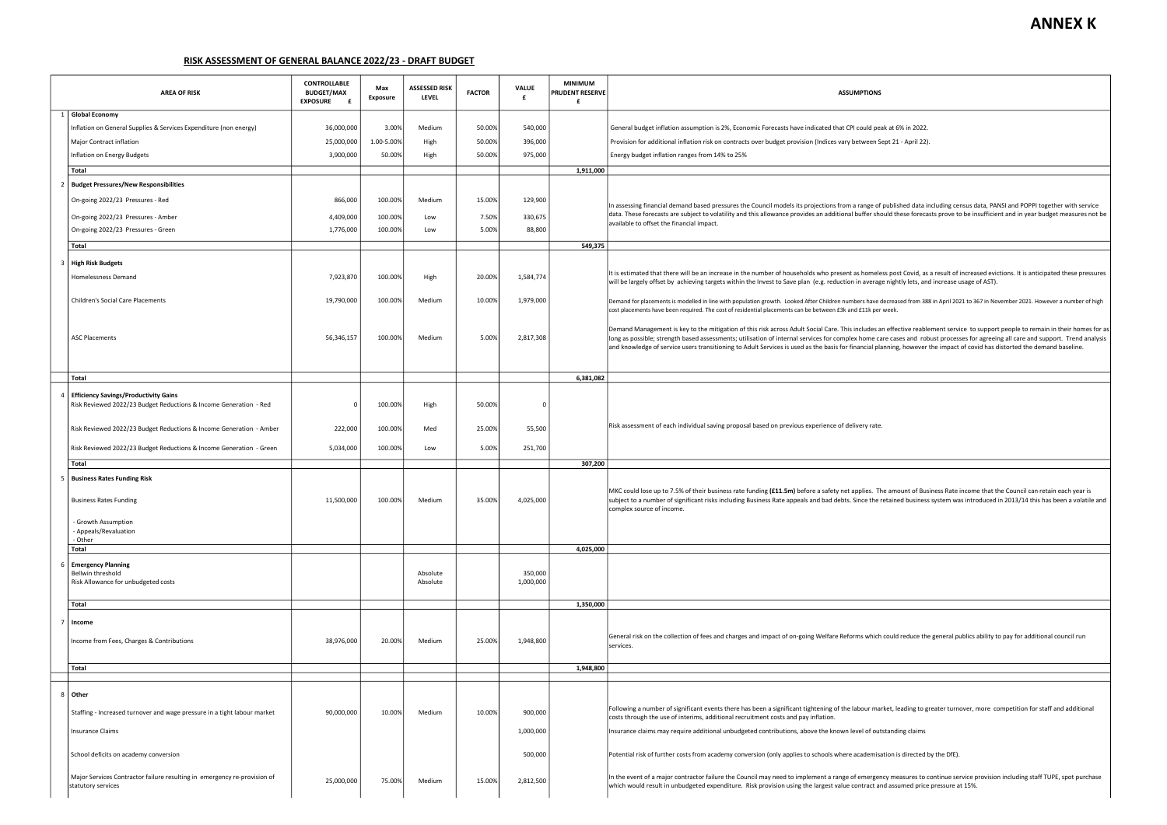|  | <b>AREA OF RISK</b>                                                                                               | <b>CONTROLLABLE</b><br><b>BUDGET/MAX</b><br><b>EXPOSURE</b> | Max<br>Exposure | <b>ASSESSED RISK</b><br>LEVEL | <b>FACTOR</b> | <b>VALUE</b><br>£    | <b>MINIMUM</b><br>PRUDENT RESERVE<br>£ | <b>ASSUMPTIONS</b>                                                                                                                                                                                                                                                                                                                                                                                                                                                                                                                                   |  |  |  |
|--|-------------------------------------------------------------------------------------------------------------------|-------------------------------------------------------------|-----------------|-------------------------------|---------------|----------------------|----------------------------------------|------------------------------------------------------------------------------------------------------------------------------------------------------------------------------------------------------------------------------------------------------------------------------------------------------------------------------------------------------------------------------------------------------------------------------------------------------------------------------------------------------------------------------------------------------|--|--|--|
|  | <b>Global Economy</b>                                                                                             |                                                             |                 |                               |               |                      |                                        |                                                                                                                                                                                                                                                                                                                                                                                                                                                                                                                                                      |  |  |  |
|  | Inflation on General Supplies & Services Expenditure (non energy)                                                 | 36,000,000                                                  | 3.00%           | Medium                        | 50.00%        | 540,000              |                                        | General budget inflation assumption is 2%, Economic Forecasts have indicated that CPI could peak at 6% in 2022.                                                                                                                                                                                                                                                                                                                                                                                                                                      |  |  |  |
|  | Major Contract inflation                                                                                          | 25,000,000                                                  | 1.00-5.00%      | High                          | 50.00%        | 396,000              |                                        | Provision for additional inflation risk on contracts over budget provision (Indices vary between Sept 21 - April 22).                                                                                                                                                                                                                                                                                                                                                                                                                                |  |  |  |
|  | Inflation on Energy Budgets                                                                                       | 3,900,000                                                   | 50.00%          | High                          | 50.00%        | 975,000              |                                        | Energy budget inflation ranges from 14% to 25%                                                                                                                                                                                                                                                                                                                                                                                                                                                                                                       |  |  |  |
|  |                                                                                                                   |                                                             |                 |                               |               |                      |                                        |                                                                                                                                                                                                                                                                                                                                                                                                                                                                                                                                                      |  |  |  |
|  | Total                                                                                                             |                                                             |                 |                               |               |                      | 1,911,000                              |                                                                                                                                                                                                                                                                                                                                                                                                                                                                                                                                                      |  |  |  |
|  | <b>Budget Pressures/New Responsibilities</b>                                                                      |                                                             |                 |                               |               |                      |                                        |                                                                                                                                                                                                                                                                                                                                                                                                                                                                                                                                                      |  |  |  |
|  | On-going 2022/23 Pressures - Red                                                                                  | 866,000                                                     | 100.00%         | Medium                        | 15.00%        | 129,900              |                                        | In assessing financial demand based pressures the Council models its projections from a range of published data including census data, PANSI and POPPI together with service                                                                                                                                                                                                                                                                                                                                                                         |  |  |  |
|  | On-going 2022/23 Pressures - Amber                                                                                | 4,409,000                                                   | 100.00%         | Low                           | 7.50%         | 330,675              |                                        | data. These forecasts are subject to volatility and this allowance provides an additional buffer should these forecasts prove to be insufficient and in year budget measures not be<br>available to offset the financial impact.                                                                                                                                                                                                                                                                                                                     |  |  |  |
|  | On-going 2022/23 Pressures - Green                                                                                | 1,776,000                                                   | 100.00%         | Low                           | 5.00%         | 88,800               |                                        |                                                                                                                                                                                                                                                                                                                                                                                                                                                                                                                                                      |  |  |  |
|  | Total                                                                                                             |                                                             |                 |                               |               |                      | 549,375                                |                                                                                                                                                                                                                                                                                                                                                                                                                                                                                                                                                      |  |  |  |
|  |                                                                                                                   |                                                             |                 |                               |               |                      |                                        |                                                                                                                                                                                                                                                                                                                                                                                                                                                                                                                                                      |  |  |  |
|  | 3   High Risk Budgets                                                                                             |                                                             |                 |                               |               |                      |                                        | It is estimated that there will be an increase in the number of households who present as homeless post Covid, as a result of increased evictions. It is anticipated these pressures                                                                                                                                                                                                                                                                                                                                                                 |  |  |  |
|  | Homelessness Demand                                                                                               | 7,923,870                                                   | 100.00%         | High                          | 20.00%        | 1,584,774            |                                        | will be largely offset by achieving targets within the Invest to Save plan (e.g. reduction in average nightly lets, and increase usage of AST).<br>Demand for placements is modelled in line with population growth. Looked After Children numbers have decreased from 388 in April 2021 to 367 in November 2021. However a number of high<br>cost placements have been required. The cost of residential placements can be between £3k and £11k per week.                                                                                           |  |  |  |
|  | <b>Children's Social Care Placements</b>                                                                          | 19,790,000                                                  | 100.00%         | Medium                        | 10.00%        | 1,979,000            |                                        |                                                                                                                                                                                                                                                                                                                                                                                                                                                                                                                                                      |  |  |  |
|  | <b>ASC Placements</b>                                                                                             | 56,346,157                                                  | 100.00%         | Medium                        | 5.00%         | 2,817,308            |                                        | Demand Management is key to the mitigation of this risk across Adult Social Care. This includes an effective reablement service to support people to remain in their homes for as<br>long as possible; strength based assessments; utilisation of internal services for complex home care cases and robust processes for agreeing all care and support. Trend analysis<br>and knowledge of service users transitioning to Adult Services is used as the basis for financial planning, however the impact of covid has distorted the demand baseline. |  |  |  |
|  | Total                                                                                                             |                                                             |                 |                               |               |                      | 6,381,082                              |                                                                                                                                                                                                                                                                                                                                                                                                                                                                                                                                                      |  |  |  |
|  |                                                                                                                   |                                                             |                 |                               |               |                      |                                        |                                                                                                                                                                                                                                                                                                                                                                                                                                                                                                                                                      |  |  |  |
|  | <b>Efficiency Savings/Productivity Gains</b><br>Risk Reviewed 2022/23 Budget Reductions & Income Generation - Red |                                                             | 100.00%         | High                          | 50.00%        |                      |                                        |                                                                                                                                                                                                                                                                                                                                                                                                                                                                                                                                                      |  |  |  |
|  | Risk Reviewed 2022/23 Budget Reductions & Income Generation - Amber                                               | 222,000                                                     | 100.00%         | Med                           | 25.00%        | 55,500               |                                        | Risk assessment of each individual saving proposal based on previous experience of delivery rate.                                                                                                                                                                                                                                                                                                                                                                                                                                                    |  |  |  |
|  | Risk Reviewed 2022/23 Budget Reductions & Income Generation - Green                                               | 5,034,000                                                   | 100.00%         | Low                           | 5.00%         | 251,700              |                                        |                                                                                                                                                                                                                                                                                                                                                                                                                                                                                                                                                      |  |  |  |
|  | Total                                                                                                             |                                                             |                 |                               |               |                      | 307,200                                |                                                                                                                                                                                                                                                                                                                                                                                                                                                                                                                                                      |  |  |  |
|  |                                                                                                                   |                                                             |                 |                               |               |                      |                                        |                                                                                                                                                                                                                                                                                                                                                                                                                                                                                                                                                      |  |  |  |
|  | 5   Business Rates Funding Risk<br><b>Business Rates Funding</b>                                                  | 11,500,000                                                  | 100.00%         | Medium                        | 35.00%        | 4,025,000            |                                        | MKC could lose up to 7.5% of their business rate funding (£11.5m) before a safety net applies. The amount of Business Rate income that the Council can retain each year is<br>subject to a number of significant risks including Business Rate appeals and bad debts. Since the retained business system was introduced in 2013/14 this has been a volatile and<br>complex source of income.                                                                                                                                                         |  |  |  |
|  | - Growth Assumption<br>- Appeals/Revaluation<br>- Other                                                           |                                                             |                 |                               |               |                      |                                        |                                                                                                                                                                                                                                                                                                                                                                                                                                                                                                                                                      |  |  |  |
|  | Total                                                                                                             |                                                             |                 |                               |               |                      | 4,025,000                              |                                                                                                                                                                                                                                                                                                                                                                                                                                                                                                                                                      |  |  |  |
|  | <b>Emergency Planning</b><br>Bellwin threshold<br>Risk Allowance for unbudgeted costs                             |                                                             |                 | Absolute<br>Absolute          |               | 350,000<br>1,000,000 |                                        |                                                                                                                                                                                                                                                                                                                                                                                                                                                                                                                                                      |  |  |  |
|  | Total                                                                                                             |                                                             |                 |                               |               |                      | 1,350,000                              |                                                                                                                                                                                                                                                                                                                                                                                                                                                                                                                                                      |  |  |  |
|  |                                                                                                                   |                                                             |                 |                               |               |                      |                                        |                                                                                                                                                                                                                                                                                                                                                                                                                                                                                                                                                      |  |  |  |
|  | Income<br>Income from Fees, Charges & Contributions                                                               | 38,976,000                                                  | 20.00%          | Medium                        | 25.00%        | 1,948,800            |                                        | General risk on the collection of fees and charges and impact of on-going Welfare Reforms which could reduce the general publics ability to pay for additional council run                                                                                                                                                                                                                                                                                                                                                                           |  |  |  |
|  |                                                                                                                   |                                                             |                 |                               |               |                      |                                        | services.                                                                                                                                                                                                                                                                                                                                                                                                                                                                                                                                            |  |  |  |
|  | Total                                                                                                             |                                                             |                 |                               |               |                      | 1,948,800                              |                                                                                                                                                                                                                                                                                                                                                                                                                                                                                                                                                      |  |  |  |
|  |                                                                                                                   |                                                             |                 |                               |               |                      |                                        |                                                                                                                                                                                                                                                                                                                                                                                                                                                                                                                                                      |  |  |  |
|  | 8   Other                                                                                                         |                                                             |                 |                               |               |                      |                                        |                                                                                                                                                                                                                                                                                                                                                                                                                                                                                                                                                      |  |  |  |
|  | Staffing - Increased turnover and wage pressure in a tight labour market                                          | 90,000,000                                                  | 10.00%          | Medium                        | 10.00%        | 900,000              |                                        | Following a number of significant events there has been a significant tightening of the labour market, leading to greater turnover, more competition for staff and additional<br>costs through the use of interims, additional recruitment costs and pay inflation.                                                                                                                                                                                                                                                                                  |  |  |  |
|  | Insurance Claims                                                                                                  |                                                             |                 |                               |               | 1,000,000            |                                        | Insurance claims may require additional unbudgeted contributions, above the known level of outstanding claims                                                                                                                                                                                                                                                                                                                                                                                                                                        |  |  |  |
|  | School deficits on academy conversion                                                                             |                                                             |                 |                               |               | 500,000              |                                        | Potential risk of further costs from academy conversion (only applies to schools where academisation is directed by the DfE).                                                                                                                                                                                                                                                                                                                                                                                                                        |  |  |  |
|  | Major Services Contractor failure resulting in emergency re-provision of<br>statutory services                    | 25,000,000                                                  | 75.00%          | Medium                        | 15.00%        | 2,812,500            |                                        | In the event of a major contractor failure the Council may need to implement a range of emergency measures to continue service provision including staff TUPE, spot purchase<br>which would result in unbudgeted expenditure. Risk provision using the largest value contract and assumed price pressure at 15%.                                                                                                                                                                                                                                     |  |  |  |

## RISK ASSESSMENT OF GENERAL BALANCE 2022/23 - DRAFT BUDGET

## **ANNEX K**

| IS                                                                                                                                                                                                                                                 |
|----------------------------------------------------------------------------------------------------------------------------------------------------------------------------------------------------------------------------------------------------|
| eak at 6% in 2022.<br>Sept 21 - April 22).                                                                                                                                                                                                         |
| of published data including census data, PANSI and POPPI together with service<br>hould these forecasts prove to be insufficient and in year budget measures not be                                                                                |
| less post Covid, as a result of increased evictions. It is anticipated these pressures<br>age nightly lets, and increase usage of AST).                                                                                                            |
| e decreased from 388 in April 2021 to 367 in November 2021. However a number of high<br>er week.                                                                                                                                                   |
| an effective reablement service to support people to remain in their homes for as<br>care cases and robust processes for agreeing all care and support. Trend analysis<br>planning, however the impact of covid has distorted the demand baseline. |
|                                                                                                                                                                                                                                                    |
| :е.                                                                                                                                                                                                                                                |
|                                                                                                                                                                                                                                                    |
| The amount of Business Rate income that the Council can retain each year is<br>e retained business system was introduced in 2013/14 this has been a volatile and                                                                                   |
|                                                                                                                                                                                                                                                    |
|                                                                                                                                                                                                                                                    |
| ch could reduce the general publics ability to pay for additional council run                                                                                                                                                                      |
|                                                                                                                                                                                                                                                    |
| arket, leading to greater turnover, more competition for staff and additional                                                                                                                                                                      |
| utstanding claims                                                                                                                                                                                                                                  |
| sation is directed by the DfE).                                                                                                                                                                                                                    |
| ency measures to continue service provision including staff TUPE, spot purchase<br>and assumed price pressure at 15%.                                                                                                                              |